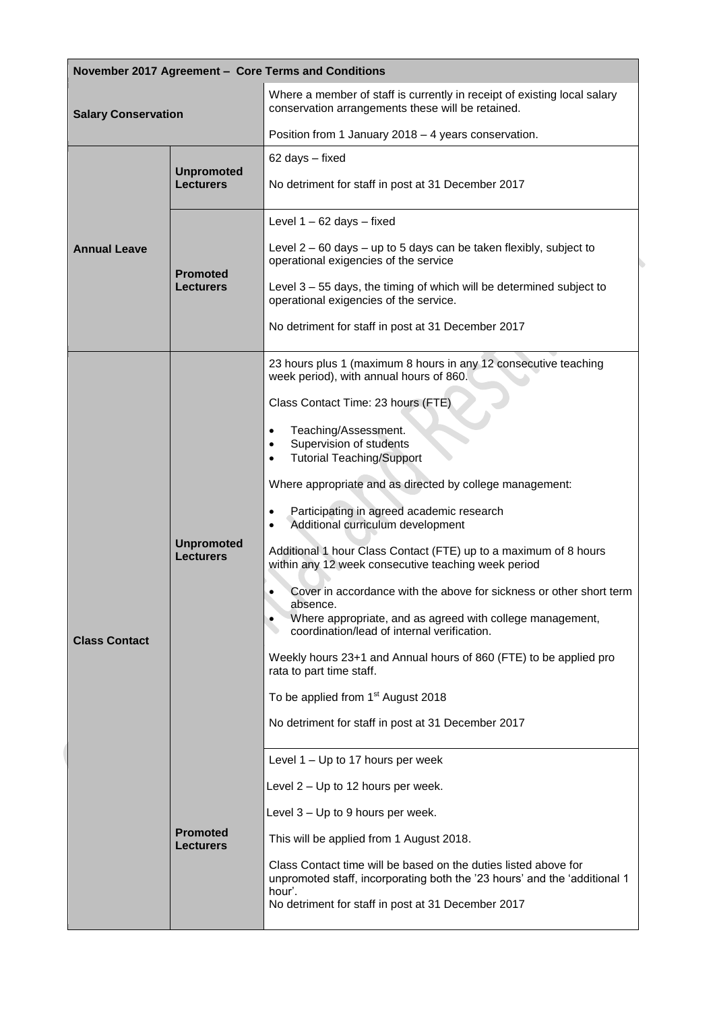| November 2017 Agreement - Core Terms and Conditions |                                       |                                                                                                                                                                                       |
|-----------------------------------------------------|---------------------------------------|---------------------------------------------------------------------------------------------------------------------------------------------------------------------------------------|
| <b>Salary Conservation</b>                          |                                       | Where a member of staff is currently in receipt of existing local salary<br>conservation arrangements these will be retained.<br>Position from 1 January 2018 - 4 years conservation. |
|                                                     |                                       | 62 days - fixed                                                                                                                                                                       |
| <b>Annual Leave</b>                                 | <b>Unpromoted</b><br><b>Lecturers</b> | No detriment for staff in post at 31 December 2017                                                                                                                                    |
|                                                     | <b>Promoted</b><br><b>Lecturers</b>   | Level $1 - 62$ days $-$ fixed                                                                                                                                                         |
|                                                     |                                       | Level $2 - 60$ days $-$ up to 5 days can be taken flexibly, subject to<br>operational exigencies of the service                                                                       |
|                                                     |                                       | Level $3 - 55$ days, the timing of which will be determined subject to<br>operational exigencies of the service.                                                                      |
|                                                     |                                       | No detriment for staff in post at 31 December 2017                                                                                                                                    |
| <b>Class Contact</b>                                | <b>Unpromoted</b><br><b>Lecturers</b> | 23 hours plus 1 (maximum 8 hours in any 12 consecutive teaching<br>week period), with annual hours of 860.                                                                            |
|                                                     |                                       | Class Contact Time: 23 hours (FTE)                                                                                                                                                    |
|                                                     |                                       | Teaching/Assessment.<br>$\bullet$                                                                                                                                                     |
|                                                     |                                       | Supervision of students<br>$\bullet$<br><b>Tutorial Teaching/Support</b><br>$\bullet$                                                                                                 |
|                                                     |                                       | Where appropriate and as directed by college management:                                                                                                                              |
|                                                     |                                       | Participating in agreed academic research<br>Additional curriculum development                                                                                                        |
|                                                     |                                       | Additional 1 hour Class Contact (FTE) up to a maximum of 8 hours<br>within any 12 week consecutive teaching week period                                                               |
|                                                     |                                       | Cover in accordance with the above for sickness or other short term                                                                                                                   |
|                                                     |                                       | absence.<br>Where appropriate, and as agreed with college management,<br>coordination/lead of internal verification.                                                                  |
|                                                     |                                       | Weekly hours 23+1 and Annual hours of 860 (FTE) to be applied pro<br>rata to part time staff.                                                                                         |
|                                                     |                                       | To be applied from 1 <sup>st</sup> August 2018                                                                                                                                        |
|                                                     |                                       | No detriment for staff in post at 31 December 2017                                                                                                                                    |
|                                                     | <b>Promoted</b><br><b>Lecturers</b>   | Level 1 – Up to 17 hours per week                                                                                                                                                     |
|                                                     |                                       | Level $2 - Up$ to 12 hours per week.                                                                                                                                                  |
|                                                     |                                       | Level $3 - Up$ to 9 hours per week.                                                                                                                                                   |
|                                                     |                                       | This will be applied from 1 August 2018.                                                                                                                                              |
|                                                     |                                       | Class Contact time will be based on the duties listed above for<br>unpromoted staff, incorporating both the '23 hours' and the 'additional 1<br>hour'.                                |
|                                                     |                                       | No detriment for staff in post at 31 December 2017                                                                                                                                    |